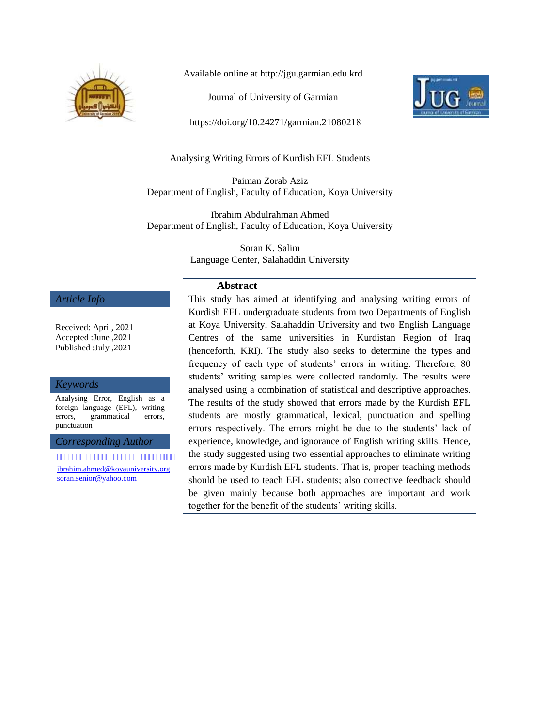

Available online at http://jgu.garmian.edu.krd

Journal of University of Garmian

https://doi.org/10.24271/garmian.21080218



Analysing Writing Errors of Kurdish EFL Students

Paiman Zorab Aziz Department of English, Faculty of Education, Koya University

Ibrahim Abdulrahman Ahmed Department of English, Faculty of Education, Koya University

> Soran K. Salim Language Center, Salahaddin University

### **Abstract**

This study has aimed at identifying and analysing writing errors of Kurdish EFL undergraduate students from two Departments of English at Koya University, Salahaddin University and two English Language Centres of the same universities in Kurdistan Region of Iraq (henceforth, KRI). The study also seeks to determine the types and frequency of each type of students' errors in writing. Therefore, 80 students' writing samples were collected randomly. The results were analysed using a combination of statistical and descriptive approaches. The results of the study showed that errors made by the Kurdish EFL students are mostly grammatical, lexical, punctuation and spelling errors respectively. The errors might be due to the students' lack of experience, knowledge, and ignorance of English writing skills. Hence, the study suggested using two essential approaches to eliminate writing errors made by Kurdish EFL students. That is, proper teaching methods should be used to teach EFL students; also corrective feedback should be given mainly because both approaches are important and work together for the benefit of the students' writing skills.

#### *Article Info*

Received: April, 2021 Accepted :June ,2021 Published :July ,2021

#### *Keywords*

Analysing Error, English as a foreign language (EFL), writing errors, grammatical errors, punctuation

*Corresponding Author*

pai man.zorab@koyauniversity.org [ibrahim.ahmed@koyauniversity.org](mailto:ibrahim.ahmed@koyauniversity.org) [soran.senior@yahoo.com](mailto:soran.senior@yahoo.com)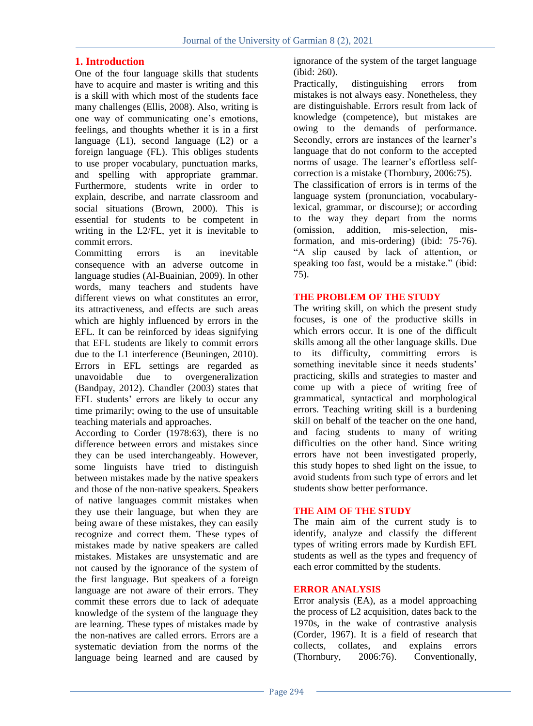# **1. Introduction**

One of the four language skills that students have to acquire and master is writing and this is a skill with which most of the students face many challenges (Ellis, 2008). Also, writing is one way of communicating one"s emotions, feelings, and thoughts whether it is in a first language  $(L1)$ , second language  $(L2)$  or a foreign language (FL). This obliges students to use proper vocabulary, punctuation marks, and spelling with appropriate grammar. Furthermore, students write in order to explain, describe, and narrate classroom and social situations (Brown, 2000). This is essential for students to be competent in writing in the L2/FL, yet it is inevitable to commit errors.

Committing errors is an inevitable consequence with an adverse outcome in language studies (Al-Buainian, 2009). In other words, many teachers and students have different views on what constitutes an error, its attractiveness, and effects are such areas which are highly influenced by errors in the EFL. It can be reinforced by ideas signifying that EFL students are likely to commit errors due to the L1 interference (Beuningen, 2010). Errors in EFL settings are regarded as unavoidable due to overgeneralization unavoidable due to overgeneralization (Bandpay, 2012). Chandler (2003) states that EFL students' errors are likely to occur any time primarily; owing to the use of unsuitable teaching materials and approaches.

According to Corder (1978:63), there is no difference between errors and mistakes since they can be used interchangeably. However, some linguists have tried to distinguish between mistakes made by the native speakers and those of the non-native speakers. Speakers of native languages commit mistakes when they use their language, but when they are being aware of these mistakes, they can easily recognize and correct them. These types of mistakes made by native speakers are called mistakes. Mistakes are unsystematic and are not caused by the ignorance of the system of the first language. But speakers of a foreign language are not aware of their errors. They commit these errors due to lack of adequate knowledge of the system of the language they are learning. These types of mistakes made by the non-natives are called errors. Errors are a systematic deviation from the norms of the language being learned and are caused by

ignorance of the system of the target language (ibid: 260).

Practically, distinguishing errors from mistakes is not always easy. Nonetheless, they are distinguishable. Errors result from lack of knowledge (competence), but mistakes are owing to the demands of performance. Secondly, errors are instances of the learner's language that do not conform to the accepted norms of usage. The learner's effortless selfcorrection is a mistake (Thornbury, 2006:75). The classification of errors is in terms of the language system (pronunciation, vocabularylexical, grammar, or discourse); or according to the way they depart from the norms (omission, addition, mis-selection, misformation, and mis-ordering) (ibid: 75-76). "A slip caused by lack of attention, or speaking too fast, would be a mistake." (ibid: 75).

# **THE PROBLEM OF THE STUDY**

The writing skill, on which the present study focuses, is one of the productive skills in which errors occur. It is one of the difficult skills among all the other language skills. Due to its difficulty, committing errors is something inevitable since it needs students' practicing, skills and strategies to master and come up with a piece of writing free of grammatical, syntactical and morphological errors. Teaching writing skill is a burdening skill on behalf of the teacher on the one hand, and facing students to many of writing difficulties on the other hand. Since writing errors have not been investigated properly, this study hopes to shed light on the issue, to avoid students from such type of errors and let students show better performance.

## **THE AIM OF THE STUDY**

The main aim of the current study is to identify, analyze and classify the different types of writing errors made by Kurdish EFL students as well as the types and frequency of each error committed by the students.

## **ERROR ANALYSIS**

Error analysis (EA), as a model approaching the process of L2 acquisition, dates back to the 1970s, in the wake of contrastive analysis (Corder, 1967). It is a field of research that collects, collates, and explains errors (Thornbury, 2006:76). Conventionally,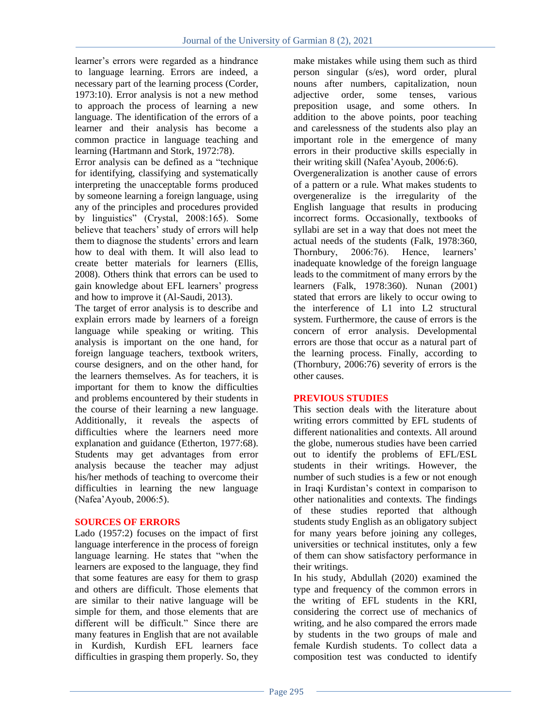learner"s errors were regarded as a hindrance to language learning. Errors are indeed, a necessary part of the learning process (Corder, 1973:10). Error analysis is not a new method to approach the process of learning a new language. The identification of the errors of a learner and their analysis has become a common practice in language teaching and learning (Hartmann and Stork, 1972:78).

Error analysis can be defined as a "technique for identifying, classifying and systematically interpreting the unacceptable forms produced by someone learning a foreign language, using any of the principles and procedures provided by linguistics" (Crystal, 2008:165). Some believe that teachers' study of errors will help them to diagnose the students' errors and learn how to deal with them. It will also lead to create better materials for learners (Ellis, 2008). Others think that errors can be used to gain knowledge about EFL learners" progress and how to improve it (Al-Saudi, 2013).

The target of error analysis is to describe and explain errors made by learners of a foreign language while speaking or writing. This analysis is important on the one hand, for foreign language teachers, textbook writers, course designers, and on the other hand, for the learners themselves. As for teachers, it is important for them to know the difficulties and problems encountered by their students in the course of their learning a new language. Additionally, it reveals the aspects of difficulties where the learners need more explanation and guidance (Etherton, 1977:68). Students may get advantages from error analysis because the teacher may adjust his/her methods of teaching to overcome their difficulties in learning the new language (Nafea"Ayoub, 2006:5).

## **SOURCES OF ERRORS**

Lado (1957:2) focuses on the impact of first language interference in the process of foreign language learning. He states that "when the learners are exposed to the language, they find that some features are easy for them to grasp and others are difficult. Those elements that are similar to their native language will be simple for them, and those elements that are different will be difficult." Since there are many features in English that are not available in Kurdish, Kurdish EFL learners face difficulties in grasping them properly. So, they

make mistakes while using them such as third person singular (s/es), word order, plural nouns after numbers, capitalization, noun adjective order, some tenses, various preposition usage, and some others. In addition to the above points, poor teaching and carelessness of the students also play an important role in the emergence of many errors in their productive skills especially in their writing skill (Nafea"Ayoub, 2006:6).

Overgeneralization is another cause of errors of a pattern or a rule. What makes students to overgeneralize is the irregularity of the English language that results in producing incorrect forms. Occasionally, textbooks of syllabi are set in a way that does not meet the actual needs of the students (Falk, 1978:360, Thornbury, 2006:76). Hence, learners' inadequate knowledge of the foreign language leads to the commitment of many errors by the learners (Falk, 1978:360). Nunan (2001) stated that errors are likely to occur owing to the interference of L1 into L2 structural system. Furthermore, the cause of errors is the concern of error analysis. Developmental errors are those that occur as a natural part of the learning process. Finally, according to (Thornbury, 2006:76) severity of errors is the other causes.

# **PREVIOUS STUDIES**

This section deals with the literature about writing errors committed by EFL students of different nationalities and contexts. All around the globe, numerous studies have been carried out to identify the problems of EFL/ESL students in their writings. However, the number of such studies is a few or not enough in Iraqi Kurdistan"s context in comparison to other nationalities and contexts. The findings of these studies reported that although students study English as an obligatory subject for many years before joining any colleges, universities or technical institutes, only a few of them can show satisfactory performance in their writings.

In his study, Abdullah (2020) examined the type and frequency of the common errors in the writing of EFL students in the KRI, considering the correct use of mechanics of writing, and he also compared the errors made by students in the two groups of male and female Kurdish students. To collect data a composition test was conducted to identify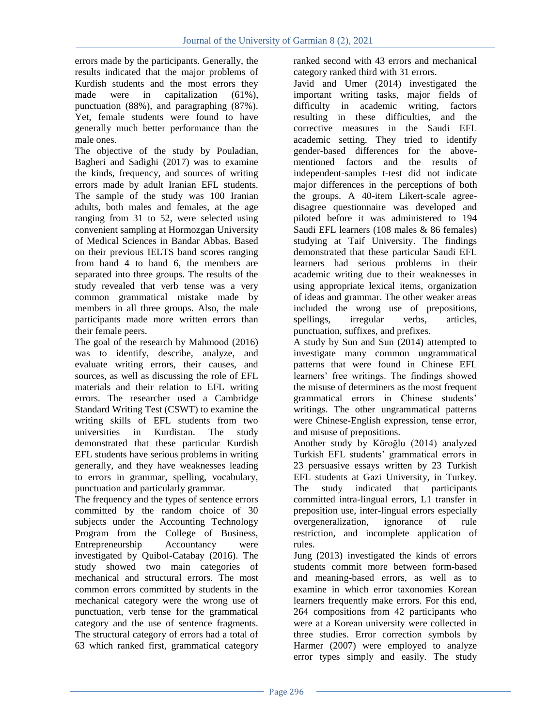errors made by the participants. Generally, the results indicated that the major problems of Kurdish students and the most errors they made were in capitalization (61%), punctuation (88%), and paragraphing (87%). Yet, female students were found to have generally much better performance than the male ones.

The objective of the study by Pouladian, Bagheri and Sadighi (2017) was to examine the kinds, frequency, and sources of writing errors made by adult Iranian EFL students. The sample of the study was 100 Iranian adults, both males and females, at the age ranging from 31 to 52, were selected using convenient sampling at Hormozgan University of Medical Sciences in Bandar Abbas. Based on their previous IELTS band scores ranging from band 4 to band 6, the members are separated into three groups. The results of the study revealed that verb tense was a very common grammatical mistake made by members in all three groups. Also, the male participants made more written errors than their female peers.

The goal of the research by Mahmood (2016) was to identify, describe, analyze, and evaluate writing errors, their causes, and sources, as well as discussing the role of EFL materials and their relation to EFL writing errors. The researcher used a Cambridge Standard Writing Test (CSWT) to examine the writing skills of EFL students from two universities in Kurdistan. The study demonstrated that these particular Kurdish EFL students have serious problems in writing generally, and they have weaknesses leading to errors in grammar, spelling, vocabulary, punctuation and particularly grammar.

The frequency and the types of sentence errors committed by the random choice of 30 subjects under the Accounting Technology Program from the College of Business, Entrepreneurship Accountancy were investigated by Quibol-Catabay (2016). The study showed two main categories of mechanical and structural errors. The most common errors committed by students in the mechanical category were the wrong use of punctuation, verb tense for the grammatical category and the use of sentence fragments. The structural category of errors had a total of 63 which ranked first, grammatical category ranked second with 43 errors and mechanical category ranked third with 31 errors.

Javid and Umer (2014) investigated the important writing tasks, major fields of difficulty in academic writing, factors resulting in these difficulties, and the corrective measures in the Saudi EFL academic setting. They tried to identify gender-based differences for the abovementioned factors and the results of independent-samples t-test did not indicate major differences in the perceptions of both the groups. A 40-item Likert-scale agreedisagree questionnaire was developed and piloted before it was administered to 194 Saudi EFL learners (108 males & 86 females) studying at Taif University. The findings demonstrated that these particular Saudi EFL learners had serious problems in their academic writing due to their weaknesses in using appropriate lexical items, organization of ideas and grammar. The other weaker areas included the wrong use of prepositions, spellings, irregular verbs, articles, punctuation, suffixes, and prefixes.

A study by Sun and Sun (2014) attempted to investigate many common ungrammatical patterns that were found in Chinese EFL learners" free writings. The findings showed the misuse of determiners as the most frequent grammatical errors in Chinese students" writings. The other ungrammatical patterns were Chinese-English expression, tense error, and misuse of prepositions.

Another study by Köroğlu (2014) analyzed Turkish EFL students" grammatical errors in 23 persuasive essays written by 23 Turkish EFL students at Gazi University, in Turkey. The study indicated that participants committed intra-lingual errors, L1 transfer in preposition use, inter-lingual errors especially overgeneralization, ignorance of rule restriction, and incomplete application of rules.

Jung (2013) investigated the kinds of errors students commit more between form-based and meaning-based errors, as well as to examine in which error taxonomies Korean learners frequently make errors. For this end, 264 compositions from 42 participants who were at a Korean university were collected in three studies. Error correction symbols by Harmer (2007) were employed to analyze error types simply and easily. The study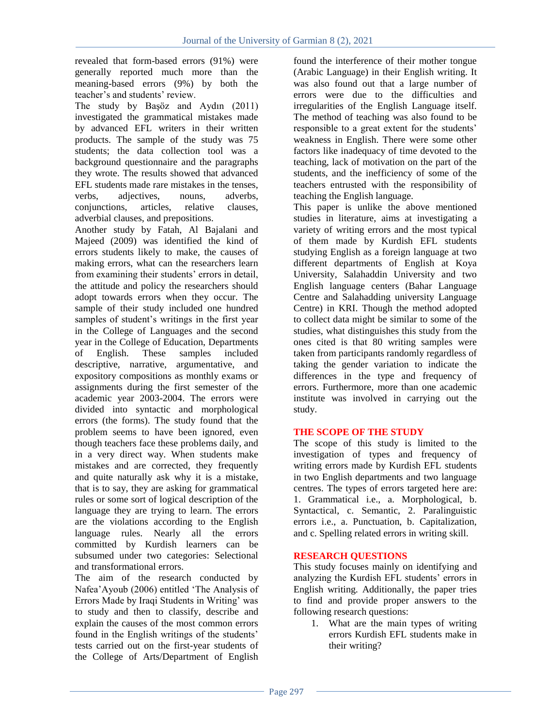revealed that form-based errors (91%) were generally reported much more than the meaning-based errors (9%) by both the teacher's and students' review.

The study by Başöz and Aydın (2011) investigated the grammatical mistakes made by advanced EFL writers in their written products. The sample of the study was 75 students; the data collection tool was a background questionnaire and the paragraphs they wrote. The results showed that advanced EFL students made rare mistakes in the tenses, verbs, adjectives, nouns, adverbs, conjunctions, articles, relative clauses, adverbial clauses, and prepositions.

Another study by Fatah, Al Bajalani and Majeed (2009) was identified the kind of errors students likely to make, the causes of making errors, what can the researchers learn from examining their students' errors in detail, the attitude and policy the researchers should adopt towards errors when they occur. The sample of their study included one hundred samples of student's writings in the first year in the College of Languages and the second year in the College of Education, Departments of English. These samples included descriptive, narrative, argumentative, and expository compositions as monthly exams or assignments during the first semester of the academic year 2003-2004. The errors were divided into syntactic and morphological errors (the forms). The study found that the problem seems to have been ignored, even though teachers face these problems daily, and in a very direct way. When students make mistakes and are corrected, they frequently and quite naturally ask why it is a mistake, that is to say, they are asking for grammatical rules or some sort of logical description of the language they are trying to learn. The errors are the violations according to the English language rules. Nearly all the errors committed by Kurdish learners can be subsumed under two categories: Selectional and transformational errors.

The aim of the research conducted by Nafea"Ayoub (2006) entitled "The Analysis of Errors Made by Iraqi Students in Writing' was to study and then to classify, describe and explain the causes of the most common errors found in the English writings of the students' tests carried out on the first-year students of the College of Arts/Department of English

found the interference of their mother tongue (Arabic Language) in their English writing. It was also found out that a large number of errors were due to the difficulties and irregularities of the English Language itself. The method of teaching was also found to be responsible to a great extent for the students' weakness in English. There were some other factors like inadequacy of time devoted to the teaching, lack of motivation on the part of the students, and the inefficiency of some of the teachers entrusted with the responsibility of teaching the English language.

This paper is unlike the above mentioned studies in literature, aims at investigating a variety of writing errors and the most typical of them made by Kurdish EFL students studying English as a foreign language at two different departments of English at Koya University, Salahaddin University and two English language centers (Bahar Language Centre and Salahadding university Language Centre) in KRI. Though the method adopted to collect data might be similar to some of the studies, what distinguishes this study from the ones cited is that 80 writing samples were taken from participants randomly regardless of taking the gender variation to indicate the differences in the type and frequency of errors. Furthermore, more than one academic institute was involved in carrying out the study.

# **THE SCOPE OF THE STUDY**

The scope of this study is limited to the investigation of types and frequency of writing errors made by Kurdish EFL students in two English departments and two language centres. The types of errors targeted here are: 1. Grammatical i.e., a. Morphological, b. Syntactical, c. Semantic, 2. Paralinguistic errors i.e., a. Punctuation, b. Capitalization, and c. Spelling related errors in writing skill.

## **RESEARCH QUESTIONS**

This study focuses mainly on identifying and analyzing the Kurdish EFL students" errors in English writing. Additionally, the paper tries to find and provide proper answers to the following research questions:

1. What are the main types of writing errors Kurdish EFL students make in their writing?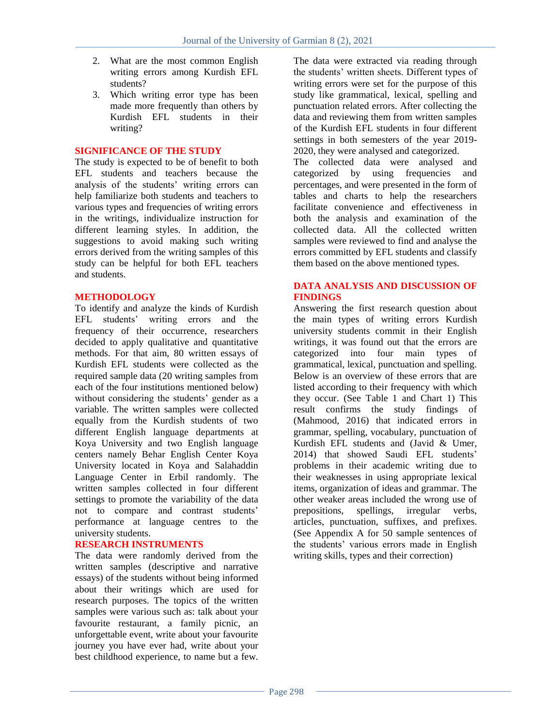- 2. What are the most common English writing errors among Kurdish EFL students?
- 3. Which writing error type has been made more frequently than others by Kurdish EFL students in their writing?

### **SIGNIFICANCE OF THE STUDY**

The study is expected to be of benefit to both EFL students and teachers because the analysis of the students' writing errors can help familiarize both students and teachers to various types and frequencies of writing errors in the writings, individualize instruction for different learning styles. In addition, the suggestions to avoid making such writing errors derived from the writing samples of this study can be helpful for both EFL teachers and students.

### **METHODOLOGY**

To identify and analyze the kinds of Kurdish EFL students' writing errors and the frequency of their occurrence, researchers decided to apply qualitative and quantitative methods. For that aim, 80 written essays of Kurdish EFL students were collected as the required sample data (20 writing samples from each of the four institutions mentioned below) without considering the students' gender as a variable. The written samples were collected equally from the Kurdish students of two different English language departments at Koya University and two English language centers namely Behar English Center Koya University located in Koya and Salahaddin Language Center in Erbil randomly. The written samples collected in four different settings to promote the variability of the data not to compare and contrast students" performance at language centres to the university students.

# **RESEARCH INSTRUMENTS**

The data were randomly derived from the written samples (descriptive and narrative essays) of the students without being informed about their writings which are used for research purposes. The topics of the written samples were various such as: talk about your favourite restaurant, a family picnic, an unforgettable event, write about your favourite journey you have ever had, write about your best childhood experience, to name but a few.

The data were extracted via reading through the students" written sheets. Different types of writing errors were set for the purpose of this study like grammatical, lexical, spelling and punctuation related errors. After collecting the data and reviewing them from written samples of the Kurdish EFL students in four different settings in both semesters of the year 2019- 2020, they were analysed and categorized.

The collected data were analysed and categorized by using frequencies and percentages, and were presented in the form of tables and charts to help the researchers facilitate convenience and effectiveness in both the analysis and examination of the collected data. All the collected written samples were reviewed to find and analyse the errors committed by EFL students and classify them based on the above mentioned types.

#### **DATA ANALYSIS AND DISCUSSION OF FINDINGS**

Answering the first research question about the main types of writing errors Kurdish university students commit in their English writings, it was found out that the errors are categorized into four main types of grammatical, lexical, punctuation and spelling. Below is an overview of these errors that are listed according to their frequency with which they occur. (See Table 1 and Chart 1) This result confirms the study findings of (Mahmood, 2016) that indicated errors in grammar, spelling, vocabulary, punctuation of Kurdish EFL students and (Javid & Umer, 2014) that showed Saudi EFL students" problems in their academic writing due to their weaknesses in using appropriate lexical items, organization of ideas and grammar. The other weaker areas included the wrong use of prepositions, spellings, irregular verbs, articles, punctuation, suffixes, and prefixes. (See Appendix A for 50 sample sentences of the students" various errors made in English writing skills, types and their correction)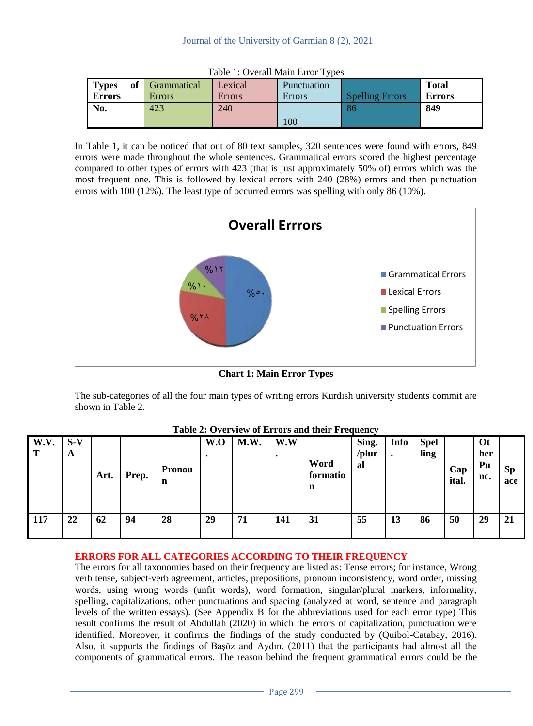| <b>Types</b>  | of Grammatical | Lexical       | <b>Punctuation</b> |                        | <b>Total</b>  |
|---------------|----------------|---------------|--------------------|------------------------|---------------|
| <b>Errors</b> | <b>Errors</b>  | <b>Errors</b> | <b>Errors</b>      | <b>Spelling Errors</b> | <b>Errors</b> |
| No.           | 423            | 240           |                    | 86                     | 849           |
|               |                |               | 100                |                        |               |

Table 1: Overall Main Error Types

In Table 1, it can be noticed that out of 80 text samples, 320 sentences were found with errors, 849 errors were made throughout the whole sentences. Grammatical errors scored the highest percentage compared to other types of errors with 423 (that is just approximately 50% of) errors which was the most frequent one. This is followed by lexical errors with 240 (28%) errors and then punctuation errors with 100 (12%). The least type of occurred errors was spelling with only 86 (10%).



**Chart 1: Main Error Types**

The sub-categories of all the four main types of writing errors Kurdish university students commit are shown in Table 2.

| W.V.<br>$\mathbf{T}$ | $S-V$<br>A | Art. | Prep. | Pronou<br>n | W.O | M.W. | W.W<br>$\bullet$ | Word<br>formatio<br>n | Sing.<br>/plur<br>al | Info<br>$\bullet$ | <b>Spel</b><br>ling | Cap<br>ital. | <b>Ot</b><br>her<br>Pu<br>nc. | Sp<br>ace |
|----------------------|------------|------|-------|-------------|-----|------|------------------|-----------------------|----------------------|-------------------|---------------------|--------------|-------------------------------|-----------|
| $\vert$ 117          | 22         | 62   | 94    | 28          | 29  | 71   | 141              | 31                    | 55                   | 13                | 86                  | 50           | 29                            | 21        |

**Table 2: Overview of Errors and their Frequency**

# **ERRORS FOR ALL CATEGORIES ACCORDING TO THEIR FREQUENCY**

The errors for all taxonomies based on their frequency are listed as: Tense errors; for instance, Wrong verb tense, subject-verb agreement, articles, prepositions, pronoun inconsistency, word order, missing words, using wrong words (unfit words), word formation, singular/plural markers, informality, spelling, capitalizations, other punctuations and spacing (analyzed at word, sentence and paragraph levels of the written essays). (See Appendix B for the abbreviations used for each error type) This result confirms the result of Abdullah (2020) in which the errors of capitalization, punctuation were identified. Moreover, it confirms the findings of the study conducted by (Quibol-Catabay, 2016). Also, it supports the findings of Başöz and Aydın, (2011) that the participants had almost all the components of grammatical errors. The reason behind the frequent grammatical errors could be the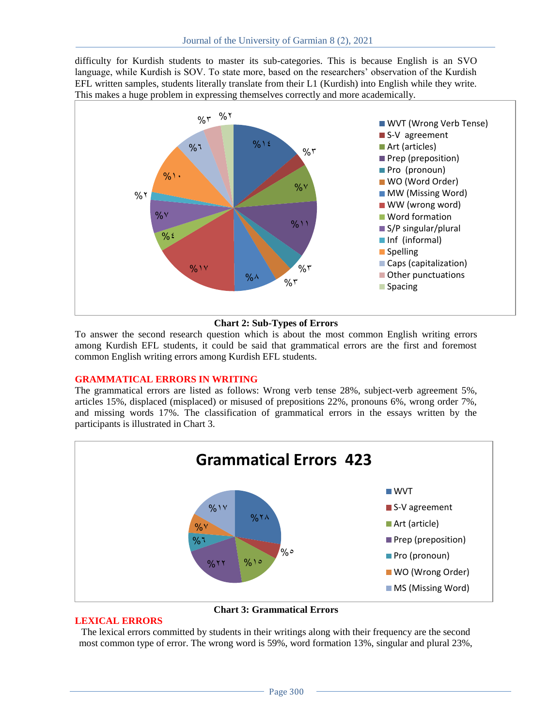difficulty for Kurdish students to master its sub-categories. This is because English is an SVO language, while Kurdish is SOV. To state more, based on the researchers' observation of the Kurdish EFL written samples, students literally translate from their L1 (Kurdish) into English while they write. This makes a huge problem in expressing themselves correctly and more academically.



#### **Chart 2: Sub-Types of Errors**

To answer the second research question which is about the most common English writing errors among Kurdish EFL students, it could be said that grammatical errors are the first and foremost common English writing errors among Kurdish EFL students.

#### **GRAMMATICAL ERRORS IN WRITING**

The grammatical errors are listed as follows: Wrong verb tense 28%, subject-verb agreement 5%, articles 15%, displaced (misplaced) or misused of prepositions 22%, pronouns 6%, wrong order 7%, and missing words 17%. The classification of grammatical errors in the essays written by the participants is illustrated in Chart 3.



**Chart 3: Grammatical Errors**

#### **LEXICAL ERRORS**

The lexical errors committed by students in their writings along with their frequency are the second most common type of error. The wrong word is 59%, word formation 13%, singular and plural 23%,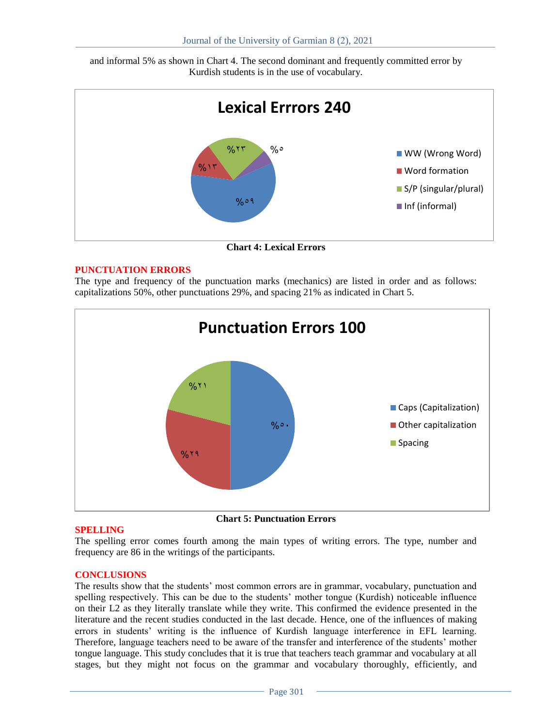and informal 5% as shown in Chart 4. The second dominant and frequently committed error by Kurdish students is in the use of vocabulary.



**Chart 4: Lexical Errors**

### **PUNCTUATION ERRORS**

The type and frequency of the punctuation marks (mechanics) are listed in order and as follows: capitalizations 50%, other punctuations 29%, and spacing 21% as indicated in Chart 5.



**Chart 5: Punctuation Errors**

#### **SPELLING**

The spelling error comes fourth among the main types of writing errors. The type, number and frequency are 86 in the writings of the participants.

#### **CONCLUSIONS**

The results show that the students" most common errors are in grammar, vocabulary, punctuation and spelling respectively. This can be due to the students" mother tongue (Kurdish) noticeable influence on their L2 as they literally translate while they write. This confirmed the evidence presented in the literature and the recent studies conducted in the last decade. Hence, one of the influences of making errors in students" writing is the influence of Kurdish language interference in EFL learning. Therefore, language teachers need to be aware of the transfer and interference of the students" mother tongue language. This study concludes that it is true that teachers teach grammar and vocabulary at all stages, but they might not focus on the grammar and vocabulary thoroughly, efficiently, and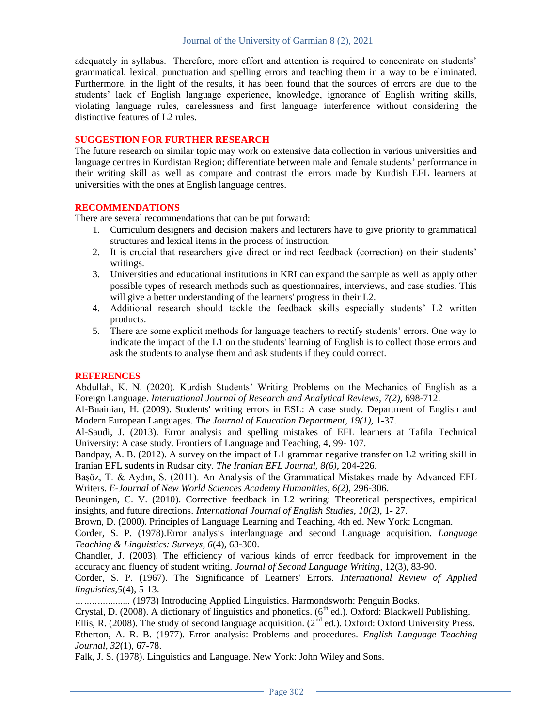adequately in syllabus. Therefore, more effort and attention is required to concentrate on students' grammatical, lexical, punctuation and spelling errors and teaching them in a way to be eliminated. Furthermore, in the light of the results, it has been found that the sources of errors are due to the students" lack of English language experience, knowledge, ignorance of English writing skills, violating language rules, carelessness and first language interference without considering the distinctive features of L2 rules.

#### **SUGGESTION FOR FURTHER RESEARCH**

The future research on similar topic may work on extensive data collection in various universities and language centres in Kurdistan Region; differentiate between male and female students' performance in their writing skill as well as compare and contrast the errors made by Kurdish EFL learners at universities with the ones at English language centres.

#### **RECOMMENDATIONS**

There are several recommendations that can be put forward:

- 1. Curriculum designers and decision makers and lecturers have to give priority to grammatical structures and lexical items in the process of instruction.
- 2. It is crucial that researchers give direct or indirect feedback (correction) on their students" writings.
- 3. Universities and educational institutions in KRI can expand the sample as well as apply other possible types of research methods such as questionnaires, interviews, and case studies. This will give a better understanding of the learners' progress in their L2.
- 4. Additional research should tackle the feedback skills especially students" L2 written products.
- 5. There are some explicit methods for language teachers to rectify students" errors. One way to indicate the impact of the L1 on the students' learning of English is to collect those errors and ask the students to analyse them and ask students if they could correct.

#### **REFERENCES**

Abdullah, K. N. (2020). Kurdish Students' Writing Problems on the Mechanics of English as a Foreign Language. *International Journal of Research and Analytical Reviews, 7(2),* 698-712.

Al-Buainian, H. (2009). Students' writing errors in ESL: A case study. Department of English and Modern European Languages. *The Journal of Education Department, 19(1),* 1-37.

Al-Saudi, J. (2013). Error analysis and spelling mistakes of EFL learners at Tafila Technical University: A case study. Frontiers of Language and Teaching, 4, 99- 107.

Bandpay, A. B. (2012). A survey on the impact of L1 grammar negative transfer on L2 writing skill in Iranian EFL sudents in Rudsar city. *The Iranian EFL Journal, 8(6)*, 204-226.

Başöz, T. & Aydın, S. (2011). An Analysis of the Grammatical Mistakes made by Advanced EFL Writers. *E-Journal of New World Sciences Academy Humanities, 6(2),* 296-306.

Beuningen, C. V. (2010). Corrective feedback in L2 writing: Theoretical perspectives, empirical insights, and future directions. *International Journal of English Studies, 10(2),* 1- 27.

Brown, D. (2000). Principles of Language Learning and Teaching, 4th ed. New York: Longman.

Corder, S. P. (1978).Error analysis interlanguage and second Language acquisition. *Language Teaching & Linguistics: Surveys, 6*(4), 63-300.

Chandler, J. (2003). The efficiency of various kinds of error feedback for improvement in the accuracy and fluency of student writing. *Journal of Second Language Writing*, 12(3), 83-90.

Corder, S. P. (1967). The Significance of Learners' Errors. *International Review of Applied linguistics,5*(4), 5-13.

*……..…..........* (1973) Introducing Applied Linguistics. Harmondsworh: Penguin Books.

Crystal, D. (2008). A dictionary of linguistics and phonetics. (6<sup>th</sup> ed.). Oxford: Blackwell Publishing.

Ellis, R. (2008). The study of second language acquisition. ( $2<sup>nd</sup>$  ed.). Oxford: Oxford University Press.

Etherton, A. R. B. (1977). Error analysis: Problems and procedures. *English Language Teaching Journal, 32*(1), 67-78.

Falk, J. S. (1978). Linguistics and Language. New York: John Wiley and Sons.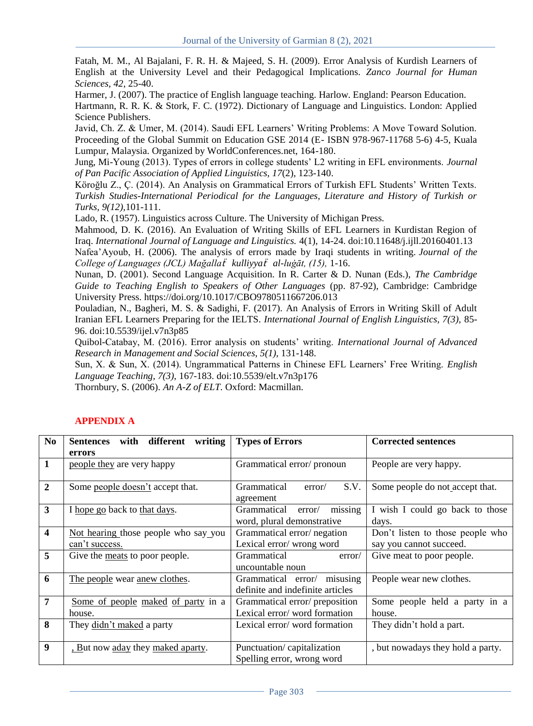Fatah, M. M., Al Bajalani, F. R. H. & Majeed, S. H. (2009). Error Analysis of Kurdish Learners of English at the University Level and their Pedagogical Implications. *Zanco Journal for Human Sciences, 42,* 25-40.

Harmer, J. (2007). The practice of English language teaching. Harlow. England: Pearson Education.

Hartmann, R. R. K. & Stork, F. C. (1972). Dictionary of Language and Linguistics. London: Applied Science Publishers.

Javid, Ch. Z. & Umer, M. (2014). Saudi EFL Learners" Writing Problems: A Move Toward Solution. Proceeding of the Global Summit on Education GSE 2014 (E- ISBN 978-967-11768 5-6) 4-5, Kuala Lumpur, Malaysia. Organized by WorldConferences.net, 164-180.

Jung, Mi-Young (2013). Types of errors in college students" L2 writing in EFL environments. *Journal of Pan Pacific Association of Applied Linguistics, 17*(2), 123-140.

Köroğlu Z., Ç. (2014). An Analysis on Grammatical Errors of Turkish EFL Students" Written Texts. *Turkish Studies-International Periodical for the Languages, Literature and History of Turkish or Turks, 9(12),*101-111.

Lado, R. (1957). Linguistics across Culture. The University of Michigan Press.

Mahmood, D. K. (2016). An Evaluation of Writing Skills of EFL Learners in Kurdistan Region of Iraq. *International Journal of Language and Linguistics.* 4(1), 14-24. doi:10.11648/j.ijll.20160401.13 Nafea"Ayoub, H. (2006). The analysis of errors made by Iraqi students in writing. *Journal of the College of Languages (JCL) Mağalla*ẗ *kulliyya*ẗ *al-luġāt, (15),* 1-16.

Nunan, D. (2001). Second Language Acquisition. In R. Carter & D. Nunan (Eds.), *The Cambridge Guide to Teaching English to Speakers of Other Languages* (pp. 87-92), Cambridge: Cambridge University Press. https://doi.org/10.1017/CBO9780511667206.013

Pouladian, N., Bagheri, M. S. & Sadighi, F. (2017). An Analysis of Errors in Writing Skill of Adult Iranian EFL Learners Preparing for the IELTS. *International Journal of English Linguistics, 7(3),* 85- 96. doi:10.5539/ijel.v7n3p85

Quibol-Catabay, M. (2016). Error analysis on students" writing. *International Journal of Advanced Research in Management and Social Sciences*, *5(1),* 131-148.

Sun, X. & Sun, X. (2014). Ungrammatical Patterns in Chinese EFL Learners" Free Writing. *English Language Teaching, 7(3),* 167-183. doi:10.5539/elt.v7n3p176

Thornbury, S. (2006). *An A-Z of ELT*. Oxford: Macmillan.

| N <sub>0</sub>          | different<br>writing<br><b>Sentences</b><br>with       | <b>Types of Errors</b>                                             | <b>Corrected sentences</b>                                  |
|-------------------------|--------------------------------------------------------|--------------------------------------------------------------------|-------------------------------------------------------------|
|                         | errors                                                 |                                                                    |                                                             |
| 1                       | people they are very happy                             | Grammatical error/pronoun                                          | People are very happy.                                      |
| $\mathbf{2}$            | Some people doesn't accept that.                       | Grammatical<br>S.V.<br>error/<br>agreement                         | Some people do not accept that.                             |
| 3                       | I hope go back to that days.                           | missing<br>Grammatical<br>error/<br>word, plural demonstrative     | I wish I could go back to those<br>days.                    |
| $\overline{\mathbf{4}}$ | Not hearing those people who say you<br>can't success. | Grammatical error/negation<br>Lexical error/wrong word             | Don't listen to those people who<br>say you cannot succeed. |
| 5                       | Give the <u>meats</u> to poor people.                  | Grammatical<br>error/<br>uncountable noun                          | Give meat to poor people.                                   |
| 6                       | The people wear anew clothes.                          | misusing<br>Grammatical error/<br>definite and indefinite articles | People wear new clothes.                                    |
| 7                       | Some of people maked of party in a                     | Grammatical error/preposition<br>Lexical error/word formation      | Some people held a party in a                               |
|                         | house.                                                 |                                                                    | house.                                                      |
| 8                       | They didn't maked a party                              | Lexical error/word formation                                       | They didn't hold a part.                                    |
| $\boldsymbol{9}$        | <u>. But now aday</u> they <u>maked aparty</u> .       | Punctuation/capitalization<br>Spelling error, wrong word           | , but nowadays they hold a party.                           |

# **APPENDIX A**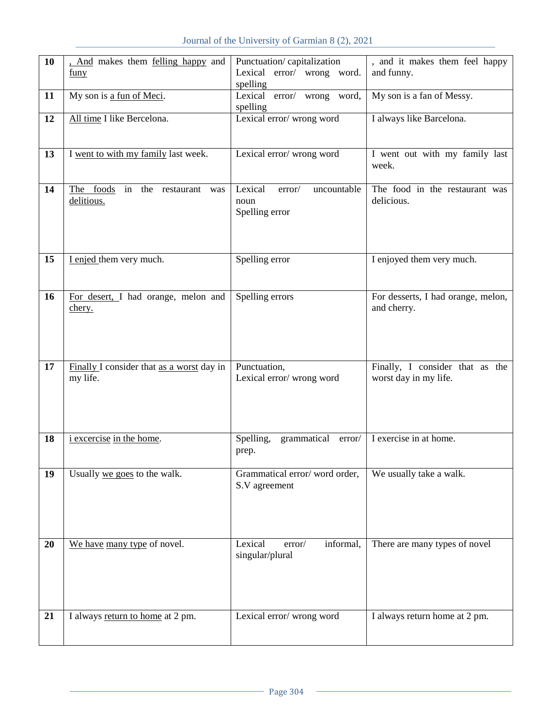| 10 | . And makes them felling happy and        | Punctuation/capitalization       | , and it makes them feel happy     |
|----|-------------------------------------------|----------------------------------|------------------------------------|
|    |                                           |                                  |                                    |
|    | <u>funy</u>                               | Lexical error/ wrong word.       | and funny.                         |
|    |                                           | spelling                         |                                    |
| 11 | My son is a fun of Meci.                  | Lexical error/ wrong word,       | My son is a fan of Messy.          |
|    |                                           | spelling                         |                                    |
| 12 | All time I like Bercelona.                | Lexical error/wrong word         | I always like Barcelona.           |
|    |                                           |                                  |                                    |
|    |                                           |                                  |                                    |
| 13 | I went to with my family last week.       | Lexical error/wrong word         | I went out with my family last     |
|    |                                           |                                  | week.                              |
|    |                                           |                                  |                                    |
|    |                                           |                                  |                                    |
| 14 | The foods in the restaurant was           | Lexical<br>uncountable<br>error/ | The food in the restaurant was     |
|    | delitious.                                | noun                             | delicious.                         |
|    |                                           | Spelling error                   |                                    |
|    |                                           |                                  |                                    |
|    |                                           |                                  |                                    |
|    |                                           |                                  |                                    |
| 15 | I enjed them very much.                   | Spelling error                   | I enjoyed them very much.          |
|    |                                           |                                  |                                    |
|    |                                           |                                  |                                    |
|    |                                           |                                  |                                    |
| 16 | For desert, I had orange, melon and       | Spelling errors                  | For desserts, I had orange, melon, |
|    | chery.                                    |                                  | and cherry.                        |
|    |                                           |                                  |                                    |
|    |                                           |                                  |                                    |
|    |                                           |                                  |                                    |
|    |                                           |                                  |                                    |
|    |                                           |                                  |                                    |
| 17 | Finally I consider that as a worst day in | Punctuation,                     | Finally, I consider that as the    |
|    | my life.                                  | Lexical error/wrong word         | worst day in my life.              |
|    |                                           |                                  |                                    |
|    |                                           |                                  |                                    |
|    |                                           |                                  |                                    |
|    |                                           |                                  |                                    |
| 18 | <i>i</i> excercise in the home.           | grammatical error/<br>Spelling,  | I exercise in at home.             |
|    |                                           |                                  |                                    |
|    |                                           | prep.                            |                                    |
|    |                                           |                                  |                                    |
| 19 | Usually we goes to the walk.              | Grammatical error/word order,    | We usually take a walk.            |
|    |                                           | S.V agreement                    |                                    |
|    |                                           |                                  |                                    |
|    |                                           |                                  |                                    |
|    |                                           |                                  |                                    |
|    |                                           |                                  |                                    |
| 20 | We have many type of novel.               | informal,<br>Lexical<br>error/   | There are many types of novel      |
|    |                                           | singular/plural                  |                                    |
|    |                                           |                                  |                                    |
|    |                                           |                                  |                                    |
|    |                                           |                                  |                                    |
|    |                                           |                                  |                                    |
|    |                                           |                                  |                                    |
| 21 | I always return to home at 2 pm.          | Lexical error/wrong word         | I always return home at 2 pm.      |
|    |                                           |                                  |                                    |
|    |                                           |                                  |                                    |
|    |                                           |                                  |                                    |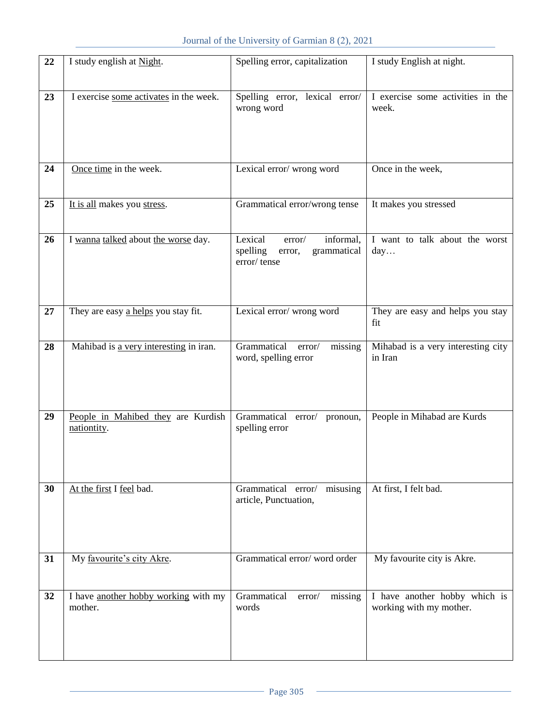| 22 | I study english at Night.                         | Spelling error, capitalization                                               | I study English at night.                                |
|----|---------------------------------------------------|------------------------------------------------------------------------------|----------------------------------------------------------|
| 23 | I exercise some activates in the week.            | Spelling error, lexical error/                                               | I exercise some activities in the                        |
|    |                                                   | wrong word                                                                   | week.                                                    |
|    |                                                   |                                                                              |                                                          |
| 24 | Once time in the week.                            | Lexical error/wrong word                                                     | Once in the week,                                        |
|    |                                                   |                                                                              |                                                          |
| 25 | It is all makes you stress.                       | Grammatical error/wrong tense                                                | It makes you stressed                                    |
| 26 | I wanna talked about the worse day.               | Lexical<br>informal,<br>error/<br>spelling<br>grammatical<br>error,          | I want to talk about the worst<br>day                    |
|    |                                                   | error/tense                                                                  |                                                          |
|    |                                                   |                                                                              |                                                          |
| 27 | They are easy a helps you stay fit.               | Lexical error/wrong word                                                     | They are easy and helps you stay<br>fit                  |
| 28 | Mahibad is a very interesting in iran.            | Grammatical<br>error/<br>missing<br>word, spelling error                     | Mihabad is a very interesting city<br>in Iran            |
|    |                                                   |                                                                              |                                                          |
|    |                                                   |                                                                              |                                                          |
| 29 | People in Mahibed they are Kurdish<br>nationtity. | Grammatical error/ pronoun,<br>spelling error                                | People in Mihabad are Kurds                              |
|    |                                                   |                                                                              |                                                          |
|    |                                                   |                                                                              |                                                          |
| 30 | At the first I feel bad.                          | Grammatical error/ misusing   At first, I felt bad.<br>article, Punctuation, |                                                          |
|    |                                                   |                                                                              |                                                          |
|    |                                                   | Grammatical error/word order                                                 | My favourite city is Akre.                               |
| 31 | My favourite's city Akre.                         |                                                                              |                                                          |
| 32 | I have another hobby working with my<br>mother.   | missing<br>Grammatical<br>error/<br>words                                    | I have another hobby which is<br>working with my mother. |
|    |                                                   |                                                                              |                                                          |
|    |                                                   |                                                                              |                                                          |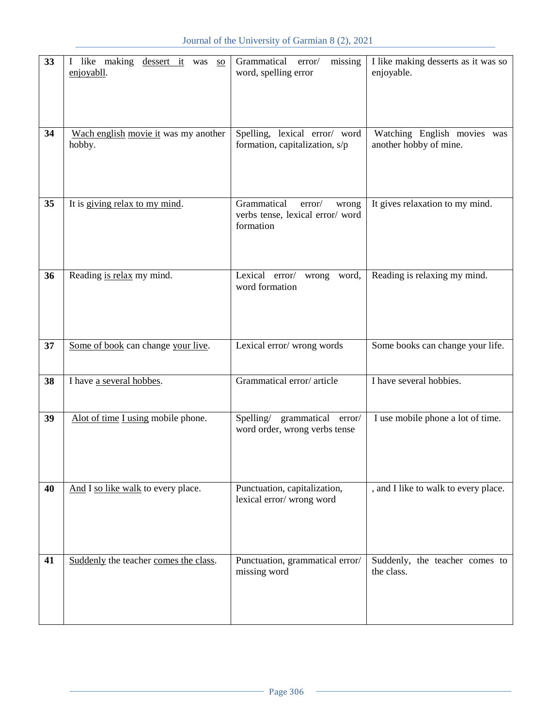| 33 | I like making dessert it was<br><b>SO</b><br>enjoyabll. | Grammatical error/<br>missing<br>word, spelling error                          | I like making desserts as it was so<br>enjoyable. |
|----|---------------------------------------------------------|--------------------------------------------------------------------------------|---------------------------------------------------|
|    |                                                         |                                                                                |                                                   |
| 34 | Wach english movie it was my another                    | Spelling, lexical error/ word                                                  | Watching English movies was                       |
|    | hobby.                                                  | formation, capitalization, s/p                                                 | another hobby of mine.                            |
|    |                                                         |                                                                                |                                                   |
| 35 | It is giving relax to my mind.                          | Grammatical<br>error/<br>wrong<br>verbs tense, lexical error/word<br>formation | It gives relaxation to my mind.                   |
| 36 | Reading is relax my mind.                               | Lexical error/<br>wrong word,<br>word formation                                | Reading is relaxing my mind.                      |
| 37 | Some of book can change your live.                      | Lexical error/wrong words                                                      | Some books can change your life.                  |
|    |                                                         |                                                                                |                                                   |
|    |                                                         |                                                                                |                                                   |
| 38 | I have a several hobbes.                                | Grammatical error/article                                                      | I have several hobbies.                           |
| 39 | Alot of time I using mobile phone.                      | Spelling/<br>grammatical error/<br>word order, wrong verbs tense               | I use mobile phone a lot of time.                 |
| 40 | And I so like walk to every place.                      | Punctuation, capitalization,<br>lexical error/wrong word                       | , and I like to walk to every place.              |